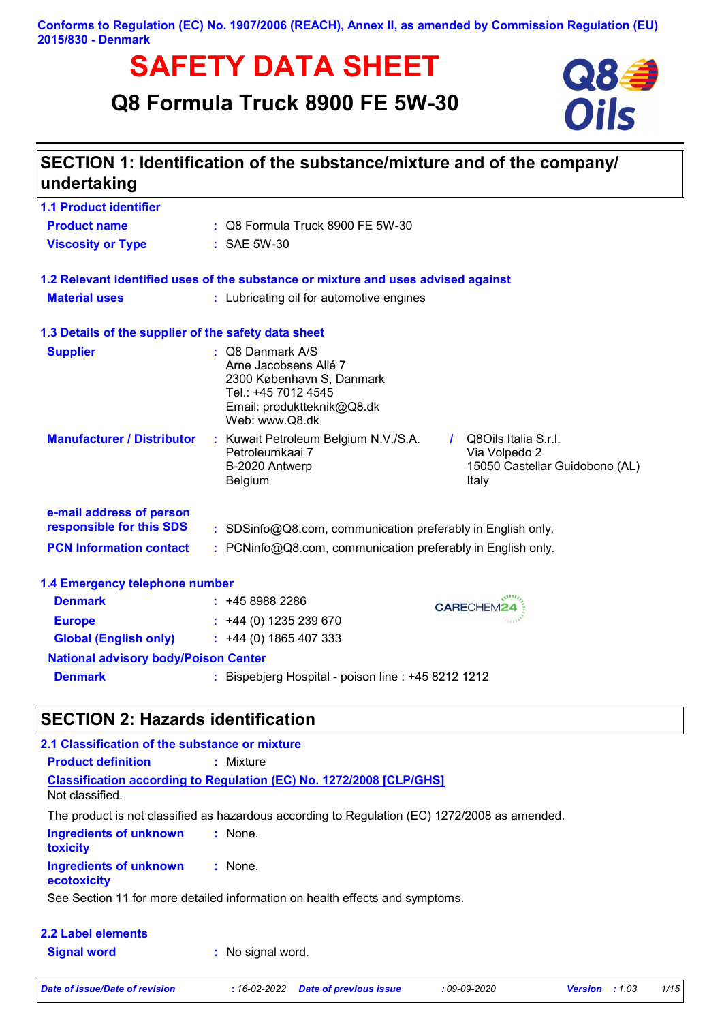**Conforms to Regulation (EC) No. 1907/2006 (REACH), Annex II, as amended by Commission Regulation (EU) 2015/830 - Denmark**

# **SAFETY DATA SHEET**<br> **S** Formula Truck 8900 FE 5W-30<br> **OIIS**

## **Q8 Formula Truck 8900 FE 5W-30**



| undertaking                                          | SECTION 1: Identification of the substance/mixture and of the company/                                                                        |                                                                                  |
|------------------------------------------------------|-----------------------------------------------------------------------------------------------------------------------------------------------|----------------------------------------------------------------------------------|
| <b>1.1 Product identifier</b>                        |                                                                                                                                               |                                                                                  |
| <b>Product name</b>                                  | : Q8 Formula Truck 8900 FE 5W-30                                                                                                              |                                                                                  |
| <b>Viscosity or Type</b>                             | : SAE 5W-30                                                                                                                                   |                                                                                  |
|                                                      | 1.2 Relevant identified uses of the substance or mixture and uses advised against                                                             |                                                                                  |
| <b>Material uses</b>                                 | : Lubricating oil for automotive engines                                                                                                      |                                                                                  |
| 1.3 Details of the supplier of the safety data sheet |                                                                                                                                               |                                                                                  |
| <b>Supplier</b>                                      | : Q8 Danmark A/S<br>Arne Jacobsens Allé 7<br>2300 København S, Danmark<br>Tel.: +45 7012 4545<br>Email: produktteknik@Q8.dk<br>Web: www.Q8.dk |                                                                                  |
| <b>Manufacturer / Distributor</b>                    | : Kuwait Petroleum Belgium N.V./S.A.<br>Petroleumkaai 7<br>B-2020 Antwerp<br>Belgium                                                          | Q8Oils Italia S.r.I.<br>Via Volpedo 2<br>15050 Castellar Guidobono (AL)<br>Italy |
| e-mail address of person<br>responsible for this SDS |                                                                                                                                               |                                                                                  |
| <b>PCN Information contact</b>                       | : SDSinfo@Q8.com, communication preferably in English only.<br>: PCNinfo@Q8.com, communication preferably in English only.                    |                                                                                  |
| 1.4 Emergency telephone number                       |                                                                                                                                               |                                                                                  |
| <b>Denmark</b>                                       | : 4589882286                                                                                                                                  | <b>CARECHEM24</b>                                                                |
| <b>Europe</b>                                        | $: +44(0)$ 1235 239 670                                                                                                                       |                                                                                  |
| <b>Global (English only)</b>                         | $: +44(0)1865407333$                                                                                                                          |                                                                                  |
| <b>National advisory body/Poison Center</b>          |                                                                                                                                               |                                                                                  |
| <b>Denmark</b>                                       | : Bispebjerg Hospital - poison line : +45 8212 1212                                                                                           |                                                                                  |

## **SECTION 2: Hazards identification**

| 2.1 Classification of the substance or mixture   |                                                                                               |
|--------------------------------------------------|-----------------------------------------------------------------------------------------------|
| <b>Product definition</b>                        | : Mixture                                                                                     |
| Not classified.                                  | <b>Classification according to Regulation (EC) No. 1272/2008 [CLP/GHS]</b>                    |
|                                                  | The product is not classified as hazardous according to Regulation (EC) 1272/2008 as amended. |
| <b>Ingredients of unknown</b><br><b>toxicity</b> | : None.                                                                                       |
| <b>Ingredients of unknown</b><br>ecotoxicity     | : None.                                                                                       |
|                                                  | See Section 11 for more detailed information on health effects and symptoms.                  |
| <b>2.2 Label elements</b>                        |                                                                                               |
| <b>Signal word</b>                               | : No signal word.                                                                             |

*Date of issue/Date of revision* **:** *16-02-2022 Date of previous issue : 09-09-2020 Version : 1.03 1/15*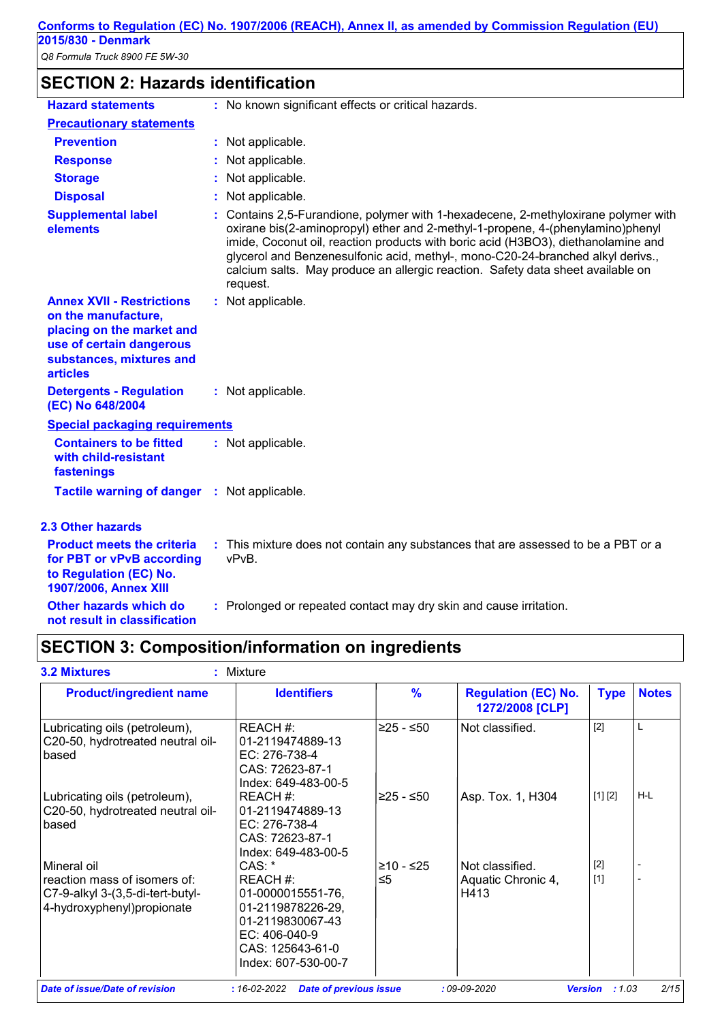## **SECTION 2: Hazards identification**

| <b>Hazard statements</b>                                                                                                                                        | : No known significant effects or critical hazards.                                                                                                                                                                                                                                                                                                                                                                                       |
|-----------------------------------------------------------------------------------------------------------------------------------------------------------------|-------------------------------------------------------------------------------------------------------------------------------------------------------------------------------------------------------------------------------------------------------------------------------------------------------------------------------------------------------------------------------------------------------------------------------------------|
| <b>Precautionary statements</b>                                                                                                                                 |                                                                                                                                                                                                                                                                                                                                                                                                                                           |
| <b>Prevention</b>                                                                                                                                               | : Not applicable.                                                                                                                                                                                                                                                                                                                                                                                                                         |
| <b>Response</b>                                                                                                                                                 | Not applicable.                                                                                                                                                                                                                                                                                                                                                                                                                           |
| <b>Storage</b>                                                                                                                                                  | Not applicable.                                                                                                                                                                                                                                                                                                                                                                                                                           |
| <b>Disposal</b>                                                                                                                                                 | Not applicable.                                                                                                                                                                                                                                                                                                                                                                                                                           |
| <b>Supplemental label</b><br>elements                                                                                                                           | Contains 2,5-Furandione, polymer with 1-hexadecene, 2-methyloxirane polymer with<br>oxirane bis(2-aminopropyl) ether and 2-methyl-1-propene, 4-(phenylamino)phenyl<br>imide, Coconut oil, reaction products with boric acid (H3BO3), diethanolamine and<br>glycerol and Benzenesulfonic acid, methyl-, mono-C20-24-branched alkyl derivs.,<br>calcium salts. May produce an allergic reaction. Safety data sheet available on<br>request. |
| <b>Annex XVII - Restrictions</b><br>on the manufacture,<br>placing on the market and<br>use of certain dangerous<br>substances, mixtures and<br><b>articles</b> | : Not applicable.                                                                                                                                                                                                                                                                                                                                                                                                                         |
| <b>Detergents - Regulation</b><br>(EC) No 648/2004                                                                                                              | : Not applicable.                                                                                                                                                                                                                                                                                                                                                                                                                         |
| <b>Special packaging requirements</b>                                                                                                                           |                                                                                                                                                                                                                                                                                                                                                                                                                                           |
| <b>Containers to be fitted</b><br>with child-resistant<br>fastenings                                                                                            | : Not applicable.                                                                                                                                                                                                                                                                                                                                                                                                                         |
| <b>Tactile warning of danger</b>                                                                                                                                | : Not applicable.                                                                                                                                                                                                                                                                                                                                                                                                                         |
| <b>2.3 Other hazards</b>                                                                                                                                        |                                                                                                                                                                                                                                                                                                                                                                                                                                           |
| <b>Product meets the criteria</b><br>for PBT or vPvB according<br>to Regulation (EC) No.<br><b>1907/2006, Annex XIII</b>                                        | : This mixture does not contain any substances that are assessed to be a PBT or a<br>vPvB.                                                                                                                                                                                                                                                                                                                                                |

**Other hazards which do : not result in classification** : Prolonged or repeated contact may dry skin and cause irritation.

## **SECTION 3: Composition/information on ingredients**

| <b>Product/ingredient name</b>                                                                                 | <b>Identifiers</b>                                                                                                                             | $\frac{9}{6}$   | <b>Regulation (EC) No.</b><br>1272/2008 [CLP] | <b>Type</b>    | <b>Notes</b> |
|----------------------------------------------------------------------------------------------------------------|------------------------------------------------------------------------------------------------------------------------------------------------|-----------------|-----------------------------------------------|----------------|--------------|
| Lubricating oils (petroleum),<br>C20-50, hydrotreated neutral oil-<br><b>based</b>                             | REACH #:<br>01-2119474889-13<br>EC: 276-738-4<br>CAS: 72623-87-1<br>Index: 649-483-00-5                                                        | ≥25 - ≤50       | Not classified.                               | $[2]$          | L            |
| Lubricating oils (petroleum),<br>C20-50, hydrotreated neutral oil-<br><b>based</b>                             | REACH #:<br>01-2119474889-13<br>EC: 276-738-4<br>CAS: 72623-87-1<br>Index: 649-483-00-5                                                        | ≥25 - ≤50       | Asp. Tox. 1, H304                             | [1] [2]        | H-L          |
| Mineral oil<br>reaction mass of isomers of:<br>C7-9-alkyl 3-(3,5-di-tert-butyl-<br>4-hydroxyphenyl) propionate | $CAS:$ *<br>REACH #:<br>01-0000015551-76,<br>01-2119878226-29,<br>01-2119830067-43<br>EC: 406-040-9<br>CAS: 125643-61-0<br>Index: 607-530-00-7 | ≥10 - ≤25<br>≤5 | Not classified.<br>Aquatic Chronic 4,<br>H413 | $[2]$<br>$[1]$ |              |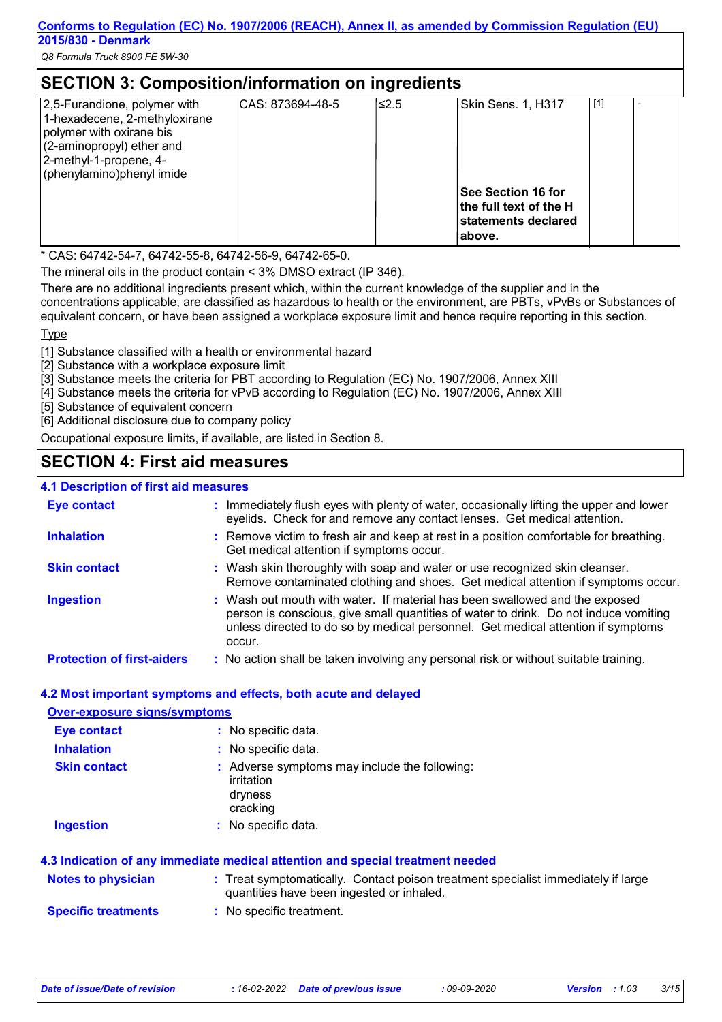| <b>SECTION 3: Composition/information on ingredients</b>                                                                                                                      |                  |       |                                                                                                     |       |  |  |
|-------------------------------------------------------------------------------------------------------------------------------------------------------------------------------|------------------|-------|-----------------------------------------------------------------------------------------------------|-------|--|--|
| 2,5-Furandione, polymer with<br>1-hexadecene, 2-methyloxirane<br>polymer with oxirane bis<br>(2-aminopropyl) ether and<br>2-methyl-1-propene, 4-<br>(phenylamino)phenyl imide | CAS: 873694-48-5 | 5.2≥ا | Skin Sens. 1, H317<br>See Section 16 for<br>the full text of the H<br>statements declared<br>above. | $[1]$ |  |  |

\* CAS: 64742-54-7, 64742-55-8, 64742-56-9, 64742-65-0.

The mineral oils in the product contain < 3% DMSO extract (IP 346).

There are no additional ingredients present which, within the current knowledge of the supplier and in the concentrations applicable, are classified as hazardous to health or the environment, are PBTs, vPvBs or Substances of equivalent concern, or have been assigned a workplace exposure limit and hence require reporting in this section.

Type

[1] Substance classified with a health or environmental hazard

[2] Substance with a workplace exposure limit

[3] Substance meets the criteria for PBT according to Regulation (EC) No. 1907/2006, Annex XIII

[4] Substance meets the criteria for vPvB according to Regulation (EC) No. 1907/2006, Annex XIII

[5] Substance of equivalent concern

[6] Additional disclosure due to company policy

Occupational exposure limits, if available, are listed in Section 8.

## **SECTION 4: First aid measures**

#### **4.1 Description of first aid measures**

| <b>Eye contact</b>                | : Immediately flush eyes with plenty of water, occasionally lifting the upper and lower<br>eyelids. Check for and remove any contact lenses. Get medical attention.                                                                                               |
|-----------------------------------|-------------------------------------------------------------------------------------------------------------------------------------------------------------------------------------------------------------------------------------------------------------------|
| <b>Inhalation</b>                 | : Remove victim to fresh air and keep at rest in a position comfortable for breathing.<br>Get medical attention if symptoms occur.                                                                                                                                |
| <b>Skin contact</b>               | : Wash skin thoroughly with soap and water or use recognized skin cleanser.<br>Remove contaminated clothing and shoes. Get medical attention if symptoms occur.                                                                                                   |
| <b>Ingestion</b>                  | : Wash out mouth with water. If material has been swallowed and the exposed<br>person is conscious, give small quantities of water to drink. Do not induce vomiting<br>unless directed to do so by medical personnel. Get medical attention if symptoms<br>occur. |
| <b>Protection of first-aiders</b> | : No action shall be taken involving any personal risk or without suitable training.                                                                                                                                                                              |

#### **4.2 Most important symptoms and effects, both acute and delayed**

| <b>Over-exposure signs/symptoms</b> |                                                                                                                                |
|-------------------------------------|--------------------------------------------------------------------------------------------------------------------------------|
| <b>Eye contact</b>                  | : No specific data.                                                                                                            |
| <b>Inhalation</b>                   | : No specific data.                                                                                                            |
| <b>Skin contact</b>                 | : Adverse symptoms may include the following:<br>irritation<br>dryness<br>cracking                                             |
| <b>Ingestion</b>                    | : No specific data.                                                                                                            |
|                                     | 4.3 Indication of any immediate medical attention and special treatment needed                                                 |
| <b>Notes to physician</b>           | : Treat symptomatically. Contact poison treatment specialist immediately if large<br>quantities have been ingested or inhaled. |
| <b>Specific treatments</b>          | : No specific treatment.                                                                                                       |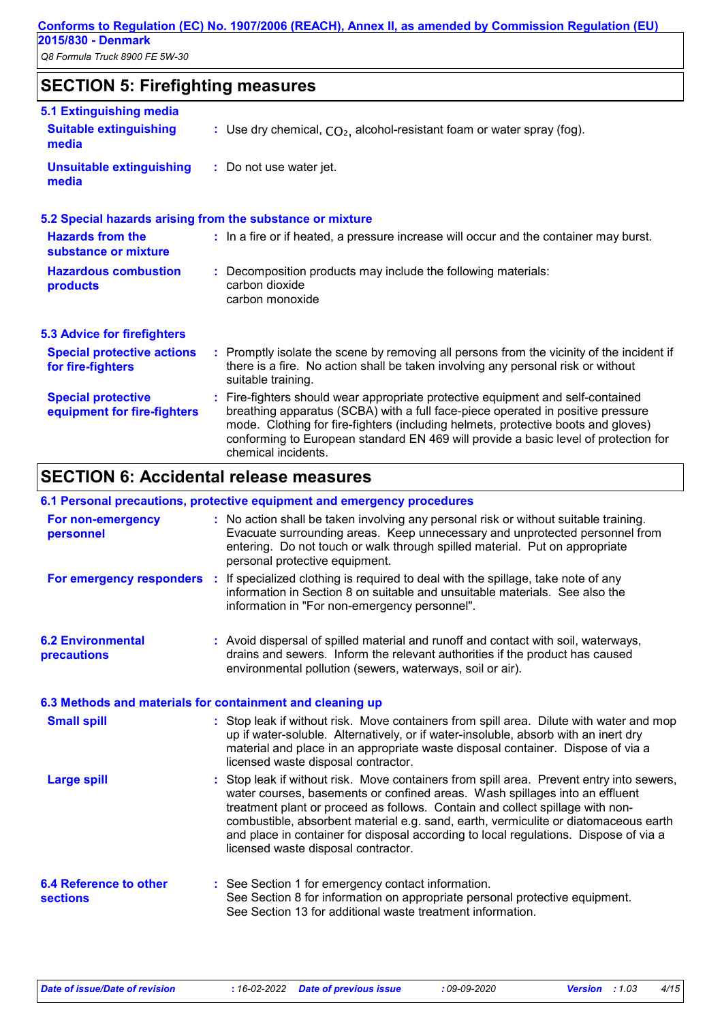## **SECTION 5: Firefighting measures**

| 5.1 Extinguishing media                                  |                                                                                                                                                                                                                                                                                                                                                                       |  |  |  |
|----------------------------------------------------------|-----------------------------------------------------------------------------------------------------------------------------------------------------------------------------------------------------------------------------------------------------------------------------------------------------------------------------------------------------------------------|--|--|--|
| <b>Suitable extinguishing</b><br>media                   | : Use dry chemical, $CO2$ , alcohol-resistant foam or water spray (fog).                                                                                                                                                                                                                                                                                              |  |  |  |
| <b>Unsuitable extinguishing</b><br>media                 | : Do not use water jet.                                                                                                                                                                                                                                                                                                                                               |  |  |  |
|                                                          | 5.2 Special hazards arising from the substance or mixture                                                                                                                                                                                                                                                                                                             |  |  |  |
| <b>Hazards from the</b><br>substance or mixture          | : In a fire or if heated, a pressure increase will occur and the container may burst.                                                                                                                                                                                                                                                                                 |  |  |  |
| <b>Hazardous combustion</b><br>products                  | : Decomposition products may include the following materials:<br>carbon dioxide<br>carbon monoxide                                                                                                                                                                                                                                                                    |  |  |  |
| <b>5.3 Advice for firefighters</b>                       |                                                                                                                                                                                                                                                                                                                                                                       |  |  |  |
| <b>Special protective actions</b><br>for fire-fighters   | : Promptly isolate the scene by removing all persons from the vicinity of the incident if<br>there is a fire. No action shall be taken involving any personal risk or without<br>suitable training.                                                                                                                                                                   |  |  |  |
| <b>Special protective</b><br>equipment for fire-fighters | : Fire-fighters should wear appropriate protective equipment and self-contained<br>breathing apparatus (SCBA) with a full face-piece operated in positive pressure<br>mode. Clothing for fire-fighters (including helmets, protective boots and gloves)<br>conforming to European standard EN 469 will provide a basic level of protection for<br>chemical incidents. |  |  |  |

## **SECTION 6: Accidental release measures**

#### **6.1 Personal precautions, protective equipment and emergency procedures**

| For non-emergency<br>personnel                            | : No action shall be taken involving any personal risk or without suitable training.<br>Evacuate surrounding areas. Keep unnecessary and unprotected personnel from<br>entering. Do not touch or walk through spilled material. Put on appropriate<br>personal protective equipment.                                                                                                                                                                                           |
|-----------------------------------------------------------|--------------------------------------------------------------------------------------------------------------------------------------------------------------------------------------------------------------------------------------------------------------------------------------------------------------------------------------------------------------------------------------------------------------------------------------------------------------------------------|
|                                                           | For emergency responders : If specialized clothing is required to deal with the spillage, take note of any<br>information in Section 8 on suitable and unsuitable materials. See also the<br>information in "For non-emergency personnel".                                                                                                                                                                                                                                     |
| <b>6.2 Environmental</b><br>precautions                   | : Avoid dispersal of spilled material and runoff and contact with soil, waterways,<br>drains and sewers. Inform the relevant authorities if the product has caused<br>environmental pollution (sewers, waterways, soil or air).                                                                                                                                                                                                                                                |
| 6.3 Methods and materials for containment and cleaning up |                                                                                                                                                                                                                                                                                                                                                                                                                                                                                |
| <b>Small spill</b>                                        | : Stop leak if without risk. Move containers from spill area. Dilute with water and mop<br>up if water-soluble. Alternatively, or if water-insoluble, absorb with an inert dry<br>material and place in an appropriate waste disposal container. Dispose of via a<br>licensed waste disposal contractor.                                                                                                                                                                       |
| <b>Large spill</b>                                        | : Stop leak if without risk. Move containers from spill area. Prevent entry into sewers,<br>water courses, basements or confined areas. Wash spillages into an effluent<br>treatment plant or proceed as follows. Contain and collect spillage with non-<br>combustible, absorbent material e.g. sand, earth, vermiculite or diatomaceous earth<br>and place in container for disposal according to local regulations. Dispose of via a<br>licensed waste disposal contractor. |
| <b>6.4 Reference to other</b><br><b>sections</b>          | : See Section 1 for emergency contact information.<br>See Section 8 for information on appropriate personal protective equipment.<br>See Section 13 for additional waste treatment information.                                                                                                                                                                                                                                                                                |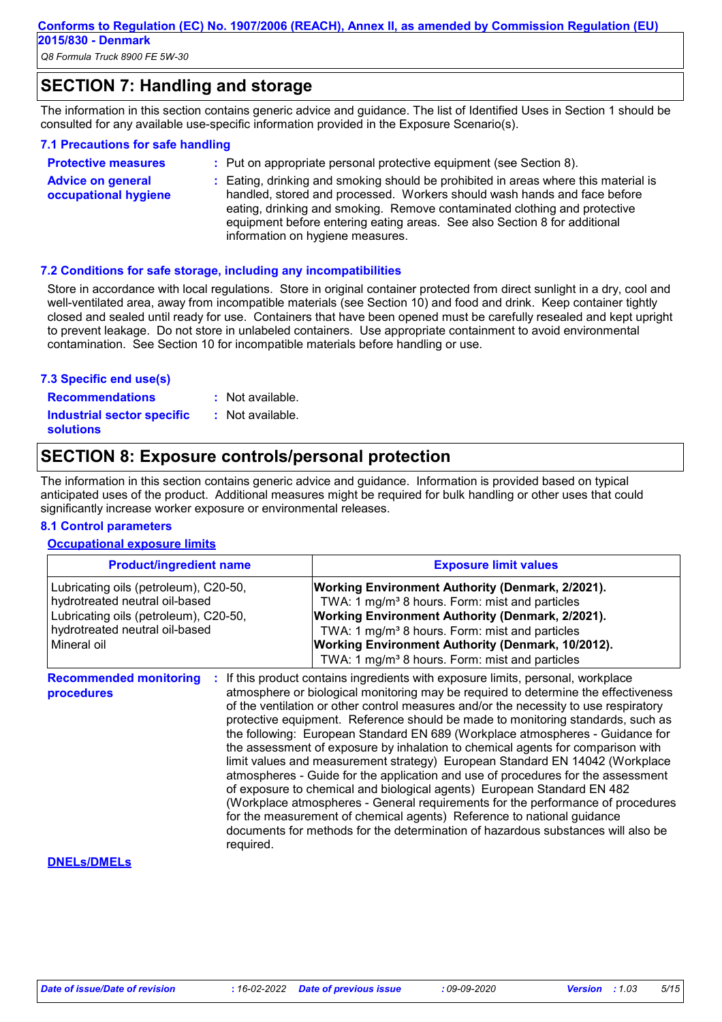**Conforms to Regulation (EC) No. 1907/2006 (REACH), Annex II, as amended by Commission Regulation (EU) 2015/830 - Denmark**

*Q8 Formula Truck 8900 FE 5W-30*

**Advice on general** 

## **SECTION 7: Handling and storage**

The information in this section contains generic advice and guidance. The list of Identified Uses in Section 1 should be consulted for any available use-specific information provided in the Exposure Scenario(s).

#### **7.1 Precautions for safe handling**

| <b>Protective measures</b>  | : Put on appropriate personal protective equipment (see Section 8).                 |
|-----------------------------|-------------------------------------------------------------------------------------|
| <b>Advice on general</b>    | : Eating, drinking and smoking should be prohibited in areas where this material is |
| <b>occupational hygiene</b> | handled, stored and processed. Workers should wash hands and face before            |

handled, stored and processed. Workers should wash hands and face before eating, drinking and smoking. Remove contaminated clothing and protective equipment before entering eating areas. See also Section 8 for additional information on hygiene measures.

#### **7.2 Conditions for safe storage, including any incompatibilities**

Store in accordance with local regulations. Store in original container protected from direct sunlight in a dry, cool and well-ventilated area, away from incompatible materials (see Section 10) and food and drink. Keep container tightly closed and sealed until ready for use. Containers that have been opened must be carefully resealed and kept upright to prevent leakage. Do not store in unlabeled containers. Use appropriate containment to avoid environmental contamination. See Section 10 for incompatible materials before handling or use.

#### **7.3 Specific end use(s)**

: Not available.

**Recommendations : Industrial sector specific : solutions**

### : Not available.

## **SECTION 8: Exposure controls/personal protection**

The information in this section contains generic advice and guidance. Information is provided based on typical anticipated uses of the product. Additional measures might be required for bulk handling or other uses that could significantly increase worker exposure or environmental releases.

#### **8.1 Control parameters**

#### **Occupational exposure limits**

| <b>Product/ingredient name</b>                                                                                                                                    | <b>Exposure limit values</b>                                                                                                                                                                                                                                                                                                                                                                                                                                                                                        |  |  |  |
|-------------------------------------------------------------------------------------------------------------------------------------------------------------------|---------------------------------------------------------------------------------------------------------------------------------------------------------------------------------------------------------------------------------------------------------------------------------------------------------------------------------------------------------------------------------------------------------------------------------------------------------------------------------------------------------------------|--|--|--|
| Lubricating oils (petroleum), C20-50,<br>hydrotreated neutral oil-based<br>Lubricating oils (petroleum), C20-50,<br>hydrotreated neutral oil-based<br>Mineral oil | <b>Working Environment Authority (Denmark, 2/2021).</b><br>TWA: 1 mg/m <sup>3</sup> 8 hours. Form: mist and particles<br><b>Working Environment Authority (Denmark, 2/2021).</b><br>TWA: 1 mg/m <sup>3</sup> 8 hours. Form: mist and particles<br><b>Working Environment Authority (Denmark, 10/2012).</b><br>TWA: 1 mg/m <sup>3</sup> 8 hours. Form: mist and particles                                                                                                                                            |  |  |  |
| <b>Recommended monitoring</b><br>procedures                                                                                                                       | If this product contains ingredients with exposure limits, personal, workplace<br>atmosphere or biological monitoring may be required to determine the effectiveness<br>of the ventilation or other control measures and/or the necessity to use respiratory<br>protective equipment. Reference should be made to monitoring standards, such as<br>the following: European Standard EN 689 (Workplace atmospheres - Guidance for<br>the assessment of exposure by inhalation to chemical agents for comparison with |  |  |  |

limit values and measurement strategy) European Standard EN 14042 (Workplace atmospheres - Guide for the application and use of procedures for the assessment of exposure to chemical and biological agents) European Standard EN 482 (Workplace atmospheres - General requirements for the performance of procedures for the measurement of chemical agents) Reference to national guidance documents for methods for the determination of hazardous substances will also be required.

#### **DNELs/DMELs**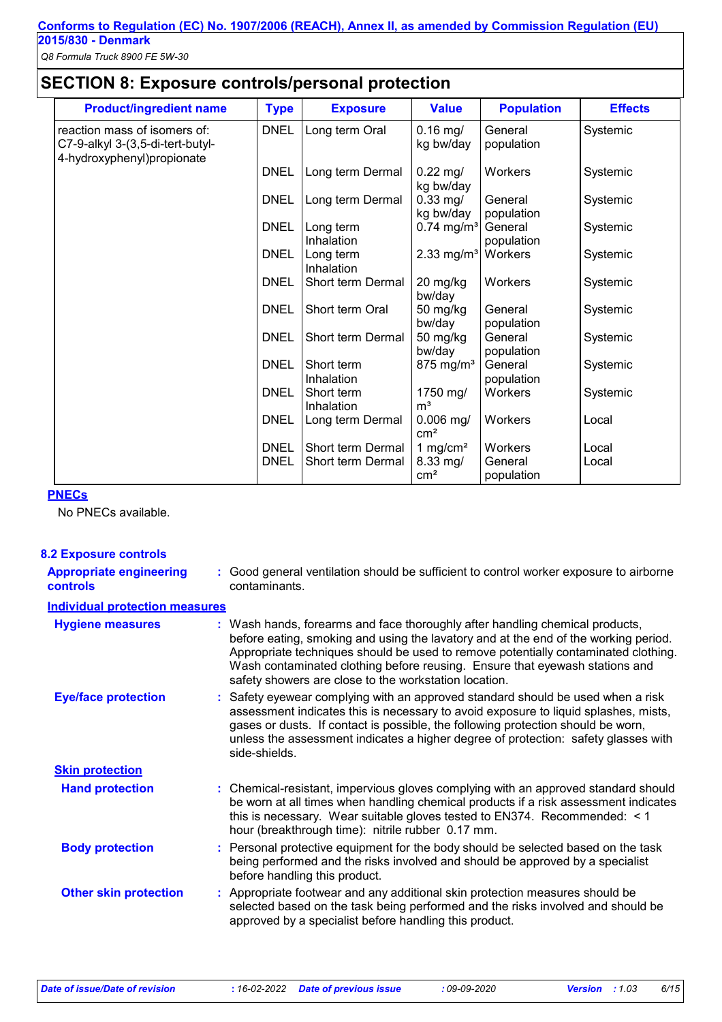## **SECTION 8: Exposure controls/personal protection**

| <b>Product/ingredient name</b>                                                                  | <b>Type</b>                | <b>Exposure</b>                        | <b>Value</b>                                        | <b>Population</b>                | <b>Effects</b> |
|-------------------------------------------------------------------------------------------------|----------------------------|----------------------------------------|-----------------------------------------------------|----------------------------------|----------------|
| reaction mass of isomers of:<br>C7-9-alkyl 3-(3,5-di-tert-butyl-<br>4-hydroxyphenyl) propionate | <b>DNEL</b>                | Long term Oral                         | $0.16$ mg/<br>kg bw/day                             | General<br>population            | Systemic       |
|                                                                                                 | <b>DNEL</b>                | Long term Dermal                       | $0.22$ mg/<br>kg bw/day                             | Workers                          | Systemic       |
|                                                                                                 | <b>DNEL</b>                | Long term Dermal                       | $0.33$ mg/<br>kg bw/day                             | General<br>population            | Systemic       |
|                                                                                                 | <b>DNEL</b>                | Long term<br>Inhalation                | $0.74$ mg/m <sup>3</sup>                            | General<br>population            | Systemic       |
|                                                                                                 | <b>DNEL</b>                | Long term<br>Inhalation                | 2.33 mg/m <sup>3</sup>                              | Workers                          | Systemic       |
|                                                                                                 | <b>DNEL</b>                | Short term Dermal                      | 20 mg/kg<br>bw/day                                  | Workers                          | Systemic       |
|                                                                                                 | <b>DNEL</b>                | Short term Oral                        | 50 mg/kg<br>bw/day                                  | General<br>population            | Systemic       |
|                                                                                                 | <b>DNEL</b>                | Short term Dermal                      | $50$ mg/kg<br>bw/day                                | General<br>population            | Systemic       |
|                                                                                                 | <b>DNEL</b>                | Short term<br>Inhalation               | $875$ mg/m <sup>3</sup>                             | General<br>population            | Systemic       |
|                                                                                                 | <b>DNEL</b>                | Short term<br>Inhalation               | 1750 mg/<br>m <sup>3</sup>                          | Workers                          | Systemic       |
|                                                                                                 | <b>DNEL</b>                | Long term Dermal                       | $0.006$ mg/<br>cm <sup>2</sup>                      | Workers                          | Local          |
|                                                                                                 | <b>DNEL</b><br><b>DNEL</b> | Short term Dermal<br>Short term Dermal | 1 mg/cm <sup>2</sup><br>8.33 mg/<br>cm <sup>2</sup> | Workers<br>General<br>population | Local<br>Local |

#### **PNECs**

No PNECs available.

**8.2 Exposure controls**

| <b>Appropriate engineering</b><br><b>controls</b> | : Good general ventilation should be sufficient to control worker exposure to airborne<br>contaminants.                                                                                                                                                                                                                                                                                           |
|---------------------------------------------------|---------------------------------------------------------------------------------------------------------------------------------------------------------------------------------------------------------------------------------------------------------------------------------------------------------------------------------------------------------------------------------------------------|
| <b>Individual protection measures</b>             |                                                                                                                                                                                                                                                                                                                                                                                                   |
| <b>Hygiene measures</b>                           | : Wash hands, forearms and face thoroughly after handling chemical products,<br>before eating, smoking and using the lavatory and at the end of the working period.<br>Appropriate techniques should be used to remove potentially contaminated clothing.<br>Wash contaminated clothing before reusing. Ensure that eyewash stations and<br>safety showers are close to the workstation location. |
| <b>Eye/face protection</b>                        | : Safety eyewear complying with an approved standard should be used when a risk<br>assessment indicates this is necessary to avoid exposure to liquid splashes, mists,<br>gases or dusts. If contact is possible, the following protection should be worn,<br>unless the assessment indicates a higher degree of protection: safety glasses with<br>side-shields.                                 |
| <b>Skin protection</b>                            |                                                                                                                                                                                                                                                                                                                                                                                                   |
| <b>Hand protection</b>                            | : Chemical-resistant, impervious gloves complying with an approved standard should<br>be worn at all times when handling chemical products if a risk assessment indicates<br>this is necessary. Wear suitable gloves tested to EN374. Recommended: < 1<br>hour (breakthrough time): nitrile rubber 0.17 mm.                                                                                       |
| <b>Body protection</b>                            | : Personal protective equipment for the body should be selected based on the task<br>being performed and the risks involved and should be approved by a specialist<br>before handling this product.                                                                                                                                                                                               |
| <b>Other skin protection</b>                      | : Appropriate footwear and any additional skin protection measures should be<br>selected based on the task being performed and the risks involved and should be<br>approved by a specialist before handling this product.                                                                                                                                                                         |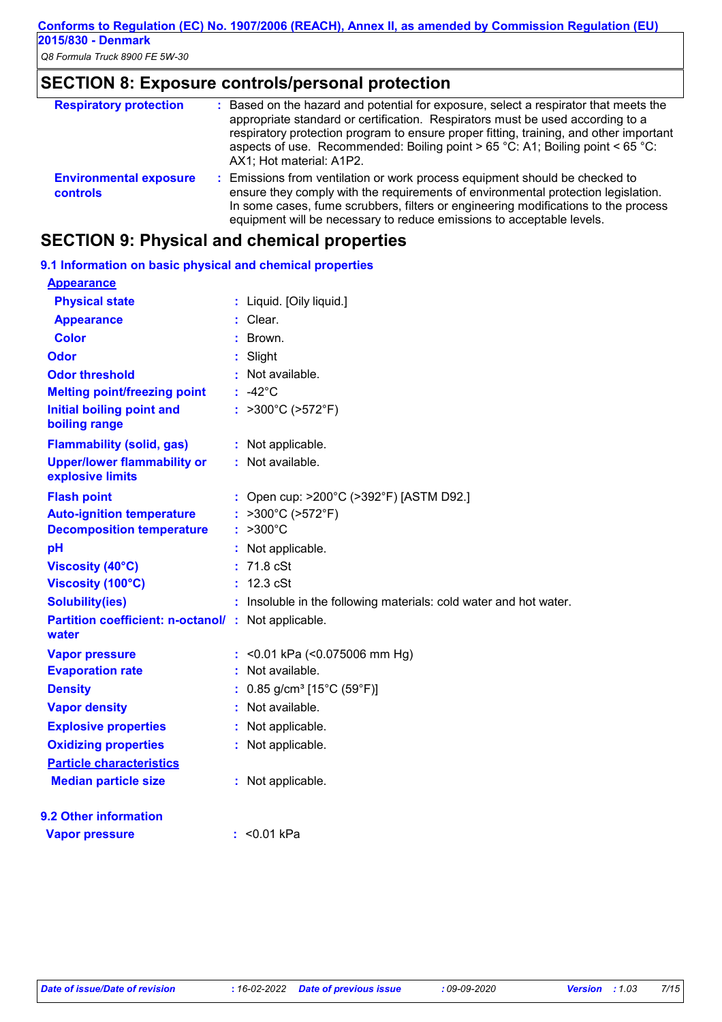## **SECTION 8: Exposure controls/personal protection**

| <b>Respiratory protection</b>                    | : Based on the hazard and potential for exposure, select a respirator that meets the<br>appropriate standard or certification. Respirators must be used according to a<br>respiratory protection program to ensure proper fitting, training, and other important<br>aspects of use. Recommended: Boiling point > 65 °C: A1; Boiling point < 65 °C:<br>AX1; Hot material: A1P2. |
|--------------------------------------------------|--------------------------------------------------------------------------------------------------------------------------------------------------------------------------------------------------------------------------------------------------------------------------------------------------------------------------------------------------------------------------------|
| <b>Environmental exposure</b><br><b>controls</b> | : Emissions from ventilation or work process equipment should be checked to<br>ensure they comply with the requirements of environmental protection legislation.<br>In some cases, fume scrubbers, filters or engineering modifications to the process<br>equipment will be necessary to reduce emissions to acceptable levels.                                                |

## **SECTION 9: Physical and chemical properties**

| 9.1 Information on basic physical and chemical properties          |    |                                                                   |
|--------------------------------------------------------------------|----|-------------------------------------------------------------------|
| <b>Appearance</b>                                                  |    |                                                                   |
| <b>Physical state</b>                                              |    | : Liquid. [Oily liquid.]                                          |
| <b>Appearance</b>                                                  |    | : Clear.                                                          |
| <b>Color</b>                                                       |    | : Brown.                                                          |
| <b>Odor</b>                                                        |    | Slight                                                            |
| <b>Odor threshold</b>                                              |    | : Not available.                                                  |
| <b>Melting point/freezing point</b>                                |    | $: -42^{\circ}$ C                                                 |
| <b>Initial boiling point and</b><br>boiling range                  |    | : $>300^{\circ}$ C ( $>572^{\circ}$ F)                            |
| <b>Flammability (solid, gas)</b>                                   |    | : Not applicable.                                                 |
| <b>Upper/lower flammability or</b><br>explosive limits             |    | : Not available.                                                  |
| <b>Flash point</b>                                                 |    | : Open cup: >200°C (>392°F) [ASTM D92.]                           |
| <b>Auto-ignition temperature</b>                                   | t. | >300°C (>572°F)                                                   |
| <b>Decomposition temperature</b>                                   | t. | $>300^{\circ}$ C                                                  |
| pH                                                                 |    | : Not applicable.                                                 |
| <b>Viscosity (40°C)</b>                                            |    | $: 71.8$ cSt                                                      |
| Viscosity (100°C)                                                  |    | : 12.3 cSt                                                        |
| <b>Solubility(ies)</b>                                             |    | : Insoluble in the following materials: cold water and hot water. |
| <b>Partition coefficient: n-octanol/: Not applicable.</b><br>water |    |                                                                   |
| <b>Vapor pressure</b>                                              |    | : < 0.01 kPa $($ < 0.075006 mm Hg)                                |
| <b>Evaporation rate</b>                                            |    | $:$ Not available.                                                |
| <b>Density</b>                                                     |    | : $0.85$ g/cm <sup>3</sup> [15°C (59°F)]                          |
| <b>Vapor density</b>                                               |    | : Not available.                                                  |
| <b>Explosive properties</b>                                        |    | : Not applicable.                                                 |
| <b>Oxidizing properties</b>                                        |    | : Not applicable.                                                 |
| <b>Particle characteristics</b>                                    |    |                                                                   |
| <b>Median particle size</b>                                        |    | : Not applicable.                                                 |
| 9.2 Other information                                              |    |                                                                   |
| <b>Vapor pressure</b>                                              |    | : $< 0.01$ kPa                                                    |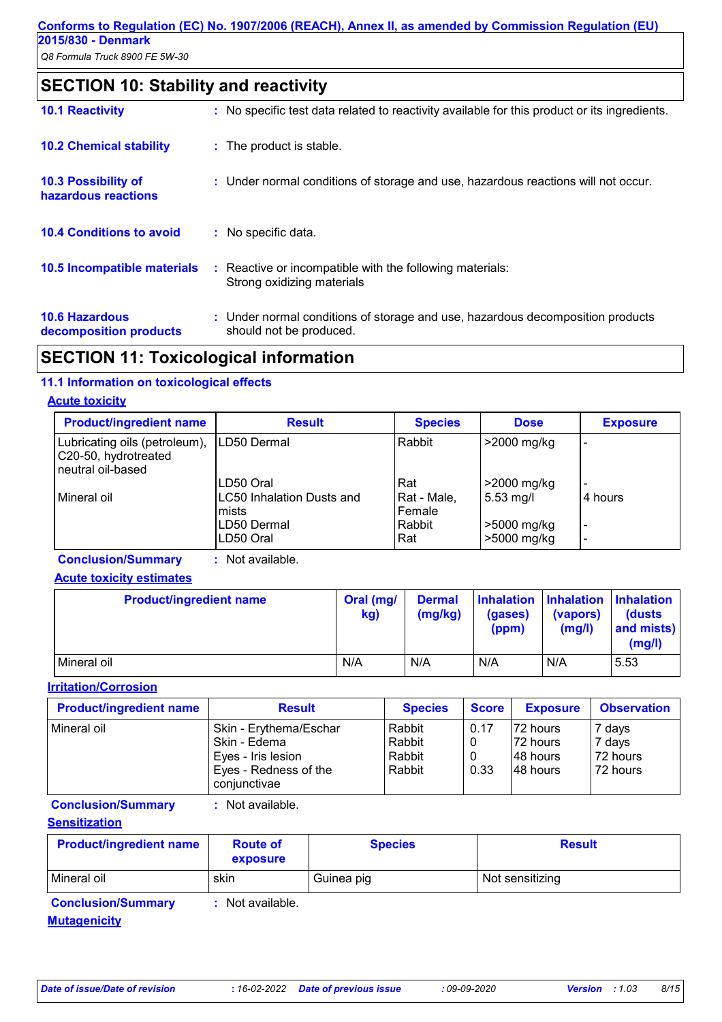## **SECTION 10: Stability and reactivity**

| <b>10.1 Reactivity</b>                            | : No specific test data related to reactivity available for this product or its ingredients.              |
|---------------------------------------------------|-----------------------------------------------------------------------------------------------------------|
| <b>10.2 Chemical stability</b>                    | : The product is stable.                                                                                  |
| <b>10.3 Possibility of</b><br>hazardous reactions | : Under normal conditions of storage and use, hazardous reactions will not occur.                         |
| <b>10.4 Conditions to avoid</b>                   | : No specific data.                                                                                       |
| <b>10.5 Incompatible materials</b>                | : Reactive or incompatible with the following materials:<br>Strong oxidizing materials                    |
| <b>10.6 Hazardous</b><br>decomposition products   | : Under normal conditions of storage and use, hazardous decomposition products<br>should not be produced. |

## **SECTION 11: Toxicological information**

### **11.1 Information on toxicological effects**

#### **Acute toxicity**

| <b>Product/ingredient name</b>                                             | <b>Result</b>                                   | <b>Species</b>               | <b>Dose</b>                | <b>Exposure</b>                                      |
|----------------------------------------------------------------------------|-------------------------------------------------|------------------------------|----------------------------|------------------------------------------------------|
| Lubricating oils (petroleum),<br>C20-50, hydrotreated<br>neutral oil-based | LD50 Dermal                                     | Rabbit                       | >2000 mg/kg                |                                                      |
| Mineral oil                                                                | LD50 Oral<br>LC50 Inhalation Dusts and<br>mists | Rat<br>Rat - Male,<br>Female | >2000 mg/kg<br>$5.53$ mg/l | l 4 hours                                            |
|                                                                            | LD50 Dermal<br>LD50 Oral                        | Rabbit<br>Rat                | >5000 mg/kg<br>>5000 mg/kg | $\overline{\phantom{0}}$<br>$\overline{\phantom{0}}$ |

**Conclusion/Summary :** Not available.

#### **Acute toxicity estimates**

| <b>Product/ingredient name</b> | Oral (mg/<br>kg) | <b>Dermal</b><br>(mg/kg) | (gases)<br>(ppm) | (vapors)<br>(mg/l) | Inhalation   Inhalation   Inhalation<br><b>(dusts)</b><br>and mists)<br>(mg/l) |
|--------------------------------|------------------|--------------------------|------------------|--------------------|--------------------------------------------------------------------------------|
| Mineral oil                    | N/A              | N/A                      | N/A              | N/A                | 5.53                                                                           |

**Irritation/Corrosion**

| <b>Product/ingredient name</b> | <b>Result</b>                         | <b>Species</b> | <b>Score</b> | <b>Exposure</b> | <b>Observation</b> |
|--------------------------------|---------------------------------------|----------------|--------------|-----------------|--------------------|
| Mineral oil                    | Skin - Erythema/Eschar                | Rabbit         | 0.17         | 72 hours        | 7 days             |
|                                | Skin - Edema                          | Rabbit         |              | 72 hours        | 7 days             |
|                                | Eyes - Iris lesion                    | Rabbit         |              | 148 hours       | 72 hours           |
|                                | Eyes - Redness of the<br>conjunctivae | Rabbit         | 0.33         | 148 hours       | 72 hours           |

**Conclusion/Summary :** Not available.

**Sensitization**

| <b>Product/ingredient name</b> | <b>Route of</b><br>exposure | <b>Species</b> | <b>Result</b>   |
|--------------------------------|-----------------------------|----------------|-----------------|
| l Mineral oil                  | skin                        | Guinea pig     | Not sensitizing |

**Conclusion/Summary :** Not available.

#### **Mutagenicity**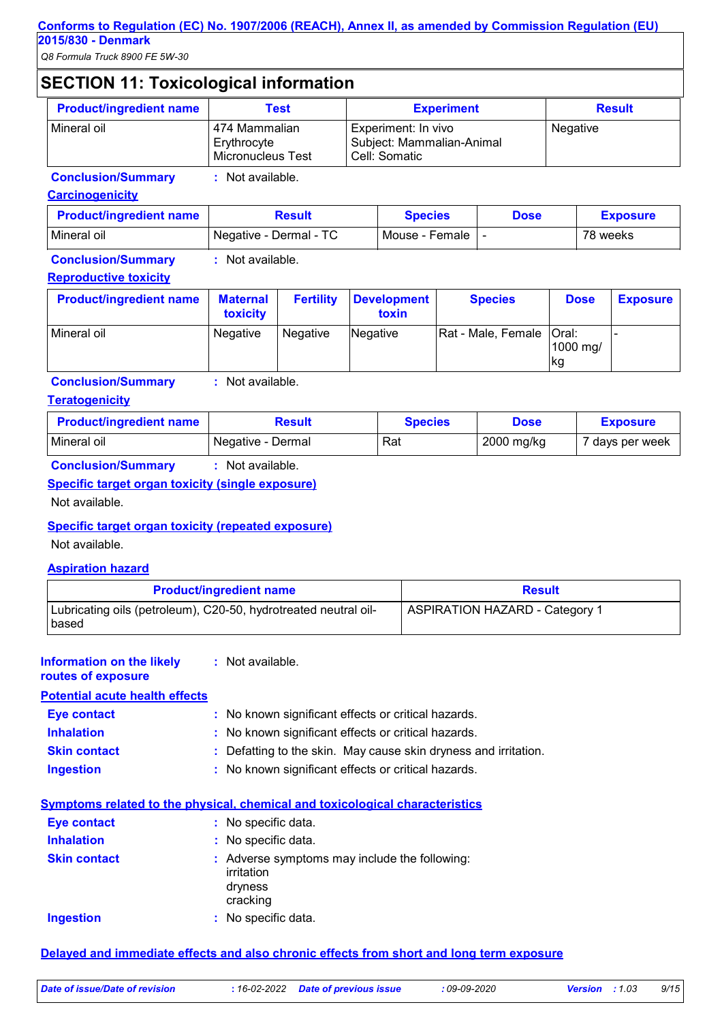## **SECTION 11: Toxicological information**

| <b>Product/ingredient name</b> | Test                                              | <b>Experiment</b>                                                 | <b>Result</b> |
|--------------------------------|---------------------------------------------------|-------------------------------------------------------------------|---------------|
| Mineral oil                    | 474 Mammalian<br>Erythrocyte<br>Micronucleus Test | Experiment: In vivo<br>Subject: Mammalian-Animal<br>Cell: Somatic | Negative      |

**Conclusion/Summary :** Not available.

#### **Carcinogenicity**

| <b>Product/ingredient name</b> | Result                 | Species        | <b>Dose</b> | <b>Exposure</b> |
|--------------------------------|------------------------|----------------|-------------|-----------------|
| Mineral oil                    | Negative - Dermal - TC | Mouse - Female |             | 78 weeks        |

**Conclusion/Summary :** Not available.

#### **Reproductive toxicity**

| <b>Product/ingredient name</b> | <b>Maternal</b><br>toxicity | <b>Fertility</b> | <b>Development</b><br>toxin | <b>Species</b>             | <b>Dose</b>      | <b>Exposure</b> |
|--------------------------------|-----------------------------|------------------|-----------------------------|----------------------------|------------------|-----------------|
| Mineral oil                    | Negative                    | Negative         | Negative                    | Rat - Male, Female   Oral: | 1000 mg/<br>Ikg. |                 |

#### **Conclusion/Summary :** Not available.

#### **Teratogenicity**

| <b>Product/ingredient name</b> | Result            | <b>Species</b> | <b>Dose</b> | <b>Exposure</b> |
|--------------------------------|-------------------|----------------|-------------|-----------------|
| Mineral oil                    | Negative - Dermal | Rat            | 2000 mg/kg  | 7 days per week |
| .                              | .<br>.            |                |             |                 |

#### **Conclusion/Summary :** Not available. **Specific target organ toxicity (single exposure)**

Not available.

#### **Specific target organ toxicity (repeated exposure)**

Not available.

#### **Aspiration hazard**

| <b>Product/ingredient name</b>                                           | <b>Result</b>                         |  |
|--------------------------------------------------------------------------|---------------------------------------|--|
| Lubricating oils (petroleum), C20-50, hydrotreated neutral oil-<br>based | <b>ASPIRATION HAZARD - Category 1</b> |  |

#### **:** Not available. **Information on the likely**

**routes of exposure**

**Potential acute health effects**

| Eye contact         | : No known significant effects or critical hazards.             |
|---------------------|-----------------------------------------------------------------|
| <b>Inhalation</b>   | : No known significant effects or critical hazards.             |
| <b>Skin contact</b> | : Defatting to the skin. May cause skin dryness and irritation. |
| <b>Ingestion</b>    | : No known significant effects or critical hazards.             |

#### **Symptoms related to the physical, chemical and toxicological characteristics**

| <b>Eye contact</b>  | : No specific data.                                                                |
|---------------------|------------------------------------------------------------------------------------|
| <b>Inhalation</b>   | : No specific data.                                                                |
| <b>Skin contact</b> | : Adverse symptoms may include the following:<br>irritation<br>dryness<br>cracking |
| Ingestion           | : No specific data.                                                                |

#### **Delayed and immediate effects and also chronic effects from short and long term exposure**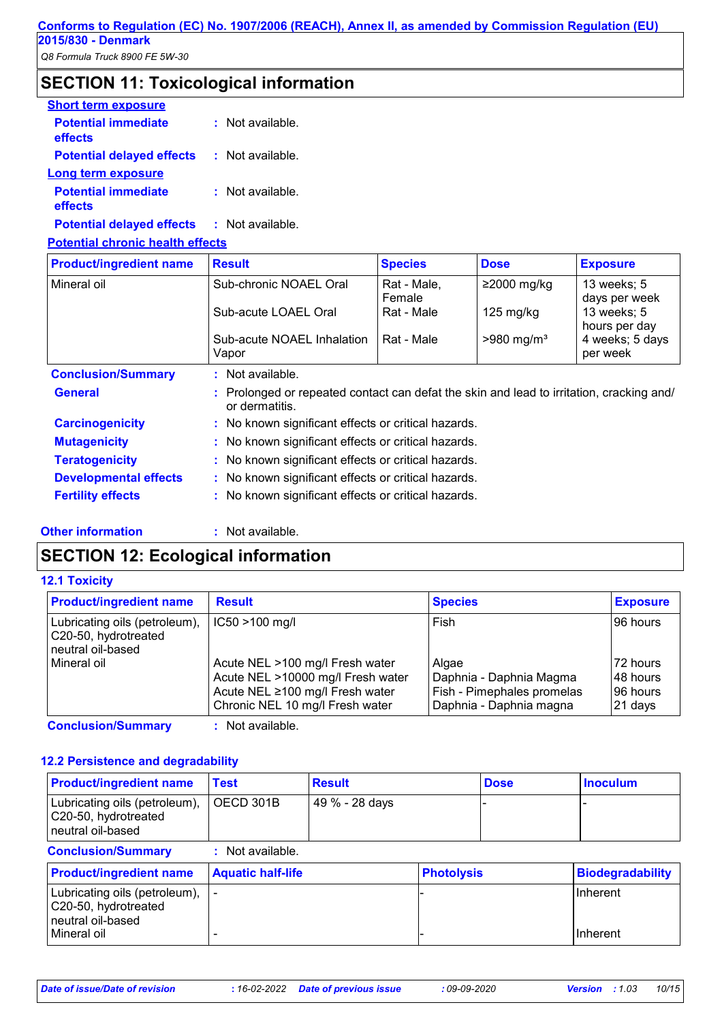## **SECTION 11: Toxicological information**

| <b>Short term exposure</b>            |                      |
|---------------------------------------|----------------------|
| <b>Potential immediate</b><br>effects | $\pm$ Not available. |
| <b>Potential delayed effects</b>      | : Not available.     |
| Long term exposure                    |                      |
| <b>Potential immediate</b><br>effects | $:$ Not available.   |
|                                       |                      |

**Potential delayed effects :** Not available.

## **Potential chronic health effects**

| <b>Product/ingredient name</b> | <b>Result</b>                                                                                            | <b>Species</b>        | <b>Dose</b>              | <b>Exposure</b>              |  |
|--------------------------------|----------------------------------------------------------------------------------------------------------|-----------------------|--------------------------|------------------------------|--|
| Mineral oil                    | Sub-chronic NOAEL Oral                                                                                   | Rat - Male,<br>Female | $≥2000$ mg/kg            | 13 weeks; 5<br>days per week |  |
|                                | Sub-acute LOAEL Oral                                                                                     | Rat - Male            | $125 \text{ mg/kg}$      | 13 weeks; 5<br>hours per day |  |
|                                | Sub-acute NOAEL Inhalation<br>Vapor                                                                      | Rat - Male            | $>980$ mg/m <sup>3</sup> | 4 weeks; 5 days<br>per week  |  |
| <b>Conclusion/Summary</b>      | : Not available.                                                                                         |                       |                          |                              |  |
| <b>General</b>                 | Prolonged or repeated contact can defat the skin and lead to irritation, cracking and/<br>or dermatitis. |                       |                          |                              |  |
| <b>Carcinogenicity</b>         | : No known significant effects or critical hazards.                                                      |                       |                          |                              |  |
| <b>Mutagenicity</b>            | : No known significant effects or critical hazards.                                                      |                       |                          |                              |  |
| <b>Teratogenicity</b>          | : No known significant effects or critical hazards.                                                      |                       |                          |                              |  |
| <b>Developmental effects</b>   | : No known significant effects or critical hazards.                                                      |                       |                          |                              |  |
| <b>Fertility effects</b>       | : No known significant effects or critical hazards.                                                      |                       |                          |                              |  |

#### **Other information :**

: Not available.

## **SECTION 12: Ecological information**

#### **12.1 Toxicity**

| $IC50 > 100$ mg/l<br>Fish<br>96 hours<br>Acute NEL >100 mg/l Fresh water<br>72 hours<br>Algae<br>Acute NEL >10000 mg/l Fresh water<br>Daphnia - Daphnia Magma<br>48 hours<br>Fish - Pimephales promelas<br>Acute NEL ≥100 mg/l Fresh water<br>96 hours<br>Chronic NEL 10 mg/l Fresh water<br>Daphnia - Daphnia magna<br>21 days | <b>Product/ingredient name</b>                                             | <b>Result</b> | <b>Species</b> | <b>Exposure</b> |
|---------------------------------------------------------------------------------------------------------------------------------------------------------------------------------------------------------------------------------------------------------------------------------------------------------------------------------|----------------------------------------------------------------------------|---------------|----------------|-----------------|
|                                                                                                                                                                                                                                                                                                                                 | Lubricating oils (petroleum),<br>C20-50, hydrotreated<br>neutral oil-based |               |                |                 |
|                                                                                                                                                                                                                                                                                                                                 | Mineral oil                                                                |               |                |                 |

**Conclusion/Summary :** Not available.

#### **12.2 Persistence and degradability**

| <b>Product/ingredient name</b>                                               | <b>Test</b>              | <b>Result</b>  |                   | <b>Dose</b> | <b>Inoculum</b>         |
|------------------------------------------------------------------------------|--------------------------|----------------|-------------------|-------------|-------------------------|
| Lubricating oils (petroleum),<br>C20-50, hydrotreated<br>l neutral oil-based | OECD 301B                | 49 % - 28 days |                   |             |                         |
| <b>Conclusion/Summary</b>                                                    | : Not available.         |                |                   |             |                         |
| <b>Product/ingredient name</b>                                               | <b>Aquatic half-life</b> |                | <b>Photolysis</b> |             | <b>Biodegradability</b> |
| Lubricating oils (petroleum),<br>C20-50, hydrotreated<br>l neutral oil-based |                          |                |                   |             | <b>Inherent</b>         |
| l Mineral oil                                                                |                          |                |                   |             | Inherent                |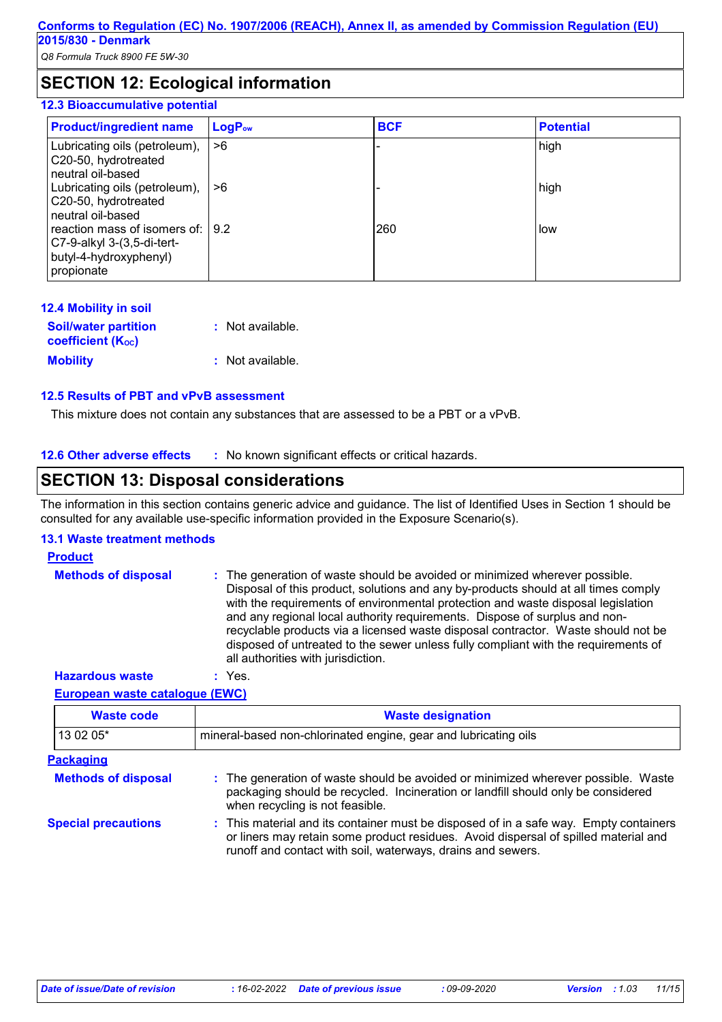## **SECTION 12: Ecological information**

#### **12.3 Bioaccumulative potential**

| <b>Product/ingredient name</b>                                                                          | LogP <sub>ow</sub> | <b>BCF</b> | <b>Potential</b> |
|---------------------------------------------------------------------------------------------------------|--------------------|------------|------------------|
| Lubricating oils (petroleum),<br>C20-50, hydrotreated<br>neutral oil-based                              | ∣>ճ                |            | high             |
| Lubricating oils (petroleum),<br>C20-50, hydrotreated<br>neutral oil-based                              | I >6               |            | high             |
| reaction mass of isomers of: 19.2<br>C7-9-alkyl 3-(3,5-di-tert-<br>butyl-4-hydroxyphenyl)<br>propionate |                    | 260        | low              |

| <b>12.4 Mobility in soil</b>                            |                  |
|---------------------------------------------------------|------------------|
| <b>Soil/water partition</b><br><b>coefficient (Koc)</b> | : Not available. |
| <b>Mobility</b>                                         | : Not available. |

#### **12.5 Results of PBT and vPvB assessment**

This mixture does not contain any substances that are assessed to be a PBT or a vPvB.

**12.6 Other adverse effects** : No known significant effects or critical hazards.

## **SECTION 13: Disposal considerations**

The information in this section contains generic advice and guidance. The list of Identified Uses in Section 1 should be consulted for any available use-specific information provided in the Exposure Scenario(s).

#### **13.1 Waste treatment methods**

## **Product**

| <b>Methods of disposal</b> | : The generation of waste should be avoided or minimized wherever possible.<br>Disposal of this product, solutions and any by-products should at all times comply<br>with the requirements of environmental protection and waste disposal legislation<br>and any regional local authority requirements. Dispose of surplus and non-<br>recyclable products via a licensed waste disposal contractor. Waste should not be<br>disposed of untreated to the sewer unless fully compliant with the requirements of |
|----------------------------|----------------------------------------------------------------------------------------------------------------------------------------------------------------------------------------------------------------------------------------------------------------------------------------------------------------------------------------------------------------------------------------------------------------------------------------------------------------------------------------------------------------|
|                            | all authorities with jurisdiction.                                                                                                                                                                                                                                                                                                                                                                                                                                                                             |

**Hazardous waste :** Yes.

#### **European waste catalogue (EWC)**

| <b>Waste code</b>          | <b>Waste designation</b>                                                                                                                                                                                                                    |
|----------------------------|---------------------------------------------------------------------------------------------------------------------------------------------------------------------------------------------------------------------------------------------|
| 13 02 05*                  | mineral-based non-chlorinated engine, gear and lubricating oils                                                                                                                                                                             |
| <b>Packaging</b>           |                                                                                                                                                                                                                                             |
| <b>Methods of disposal</b> | : The generation of waste should be avoided or minimized wherever possible. Waste<br>packaging should be recycled. Incineration or landfill should only be considered<br>when recycling is not feasible.                                    |
| <b>Special precautions</b> | : This material and its container must be disposed of in a safe way. Empty containers<br>or liners may retain some product residues. Avoid dispersal of spilled material and<br>runoff and contact with soil, waterways, drains and sewers. |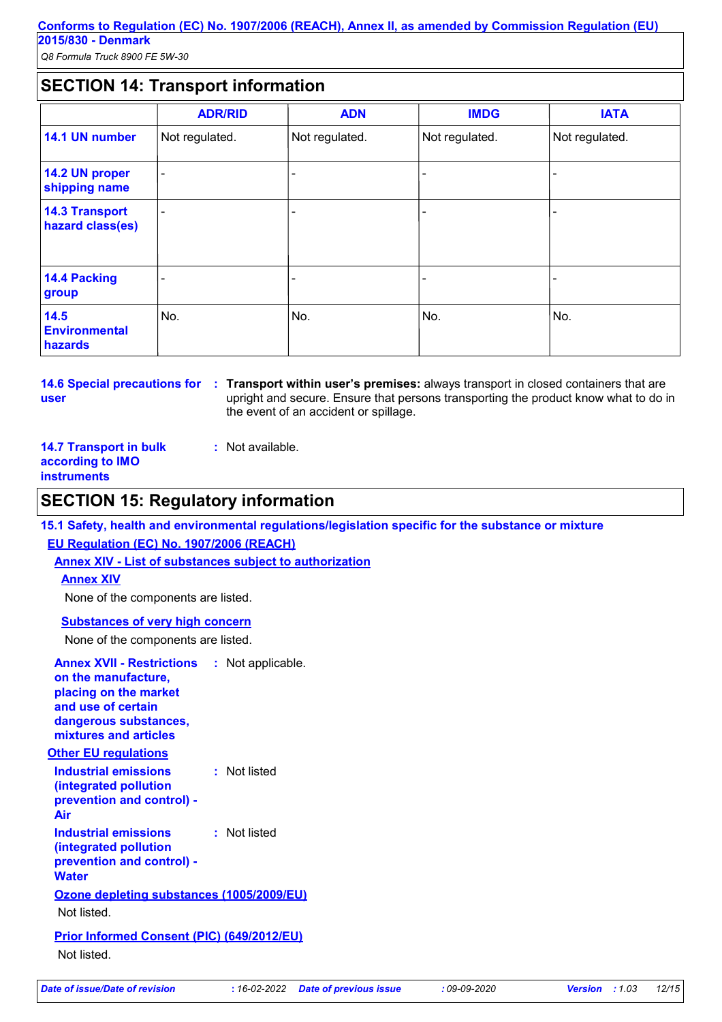## **SECTION 14: Transport information**

|                                           | <b>ADR/RID</b>           | <b>ADN</b>     | <b>IMDG</b>    | <b>IATA</b>    |
|-------------------------------------------|--------------------------|----------------|----------------|----------------|
| 14.1 UN number                            | Not regulated.           | Not regulated. | Not regulated. | Not regulated. |
| 14.2 UN proper<br>shipping name           | $\blacksquare$           |                |                |                |
| <b>14.3 Transport</b><br>hazard class(es) | $\overline{\phantom{0}}$ |                |                | $\blacksquare$ |
| 14.4 Packing<br>group                     |                          |                |                |                |
| 14.5<br><b>Environmental</b><br>hazards   | No.                      | No.            | No.            | No.            |

**14.6 Special precautions for user**

**Transport within user's premises:** always transport in closed containers that are **:** upright and secure. Ensure that persons transporting the product know what to do in the event of an accident or spillage.

| <b>14.7 Transport in bulk</b> |  |
|-------------------------------|--|
| according to IMO              |  |
| <b>instruments</b>            |  |

## **SECTION 15: Regulatory information**

**15.1 Safety, health and environmental regulations/legislation specific for the substance or mixture EU Regulation (EC) No. 1907/2006 (REACH)**

**Annex XIV - List of substances subject to authorization**

**:** Not available.

**Annex XIV**

None of the components are listed.

#### **Substances of very high concern**

None of the components are listed.

| <b>Annex XVII - Restrictions</b><br>on the manufacture,<br>placing on the market<br>and use of certain<br>dangerous substances,<br>mixtures and articles | : Not applicable. |
|----------------------------------------------------------------------------------------------------------------------------------------------------------|-------------------|
| <b>Other EU regulations</b>                                                                                                                              |                   |
| Industrial emissions<br>(integrated pollution<br>prevention and control) -<br>Air                                                                        | : Not listed      |
| <b>Industrial emissions</b><br>(integrated pollution<br>prevention and control) -<br><b>Water</b>                                                        | : Not listed      |
| <b>Ozone depleting substances (1005/2009/EU)</b>                                                                                                         |                   |
| Not listed.                                                                                                                                              |                   |
| <b>Prior Informed Consent (PIC) (649/2012/EU)</b><br>Not listed.                                                                                         |                   |
|                                                                                                                                                          |                   |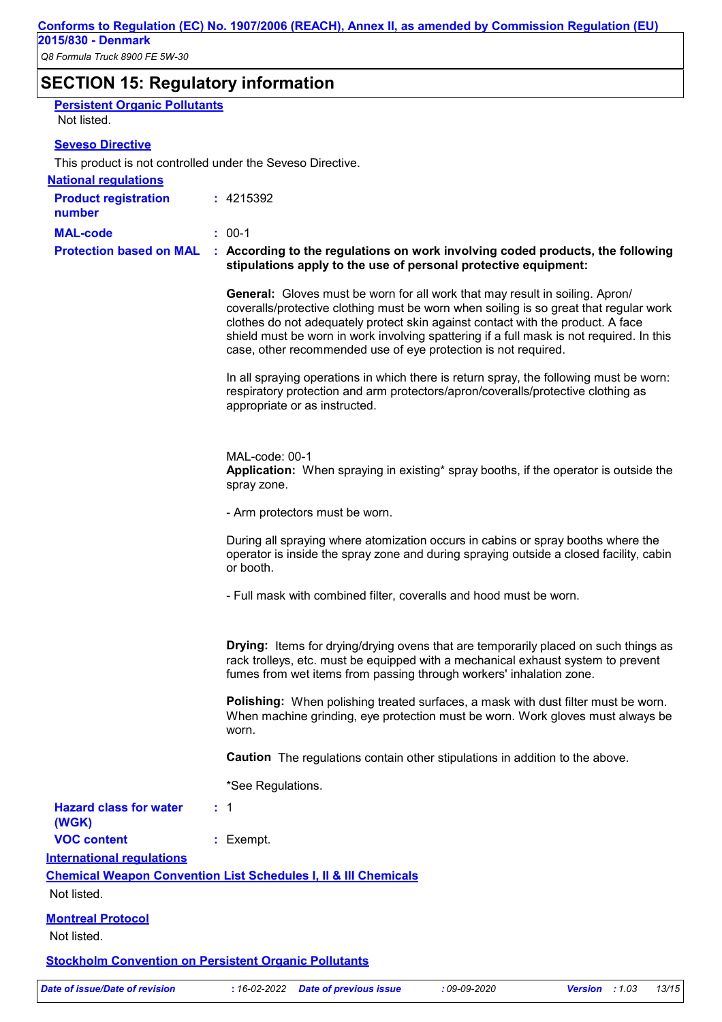| <b>Persistent Organic Pollutants</b>                         |                                                                                                                                                                                                                                                                                                                                                                                                                               |  |  |  |
|--------------------------------------------------------------|-------------------------------------------------------------------------------------------------------------------------------------------------------------------------------------------------------------------------------------------------------------------------------------------------------------------------------------------------------------------------------------------------------------------------------|--|--|--|
| Not listed.                                                  |                                                                                                                                                                                                                                                                                                                                                                                                                               |  |  |  |
| <b>Seveso Directive</b>                                      |                                                                                                                                                                                                                                                                                                                                                                                                                               |  |  |  |
| This product is not controlled under the Seveso Directive.   |                                                                                                                                                                                                                                                                                                                                                                                                                               |  |  |  |
| <b>National requlations</b>                                  |                                                                                                                                                                                                                                                                                                                                                                                                                               |  |  |  |
| <b>Product registration</b><br>number                        | : 4215392                                                                                                                                                                                                                                                                                                                                                                                                                     |  |  |  |
| <b>MAL-code</b>                                              | $: 00-1$                                                                                                                                                                                                                                                                                                                                                                                                                      |  |  |  |
| <b>Protection based on MAL</b>                               | : According to the regulations on work involving coded products, the following<br>stipulations apply to the use of personal protective equipment:                                                                                                                                                                                                                                                                             |  |  |  |
|                                                              | <b>General:</b> Gloves must be worn for all work that may result in soiling. Apron/<br>coveralls/protective clothing must be worn when soiling is so great that regular work<br>clothes do not adequately protect skin against contact with the product. A face<br>shield must be worn in work involving spattering if a full mask is not required. In this<br>case, other recommended use of eye protection is not required. |  |  |  |
|                                                              | In all spraying operations in which there is return spray, the following must be worn:<br>respiratory protection and arm protectors/apron/coveralls/protective clothing as<br>appropriate or as instructed.                                                                                                                                                                                                                   |  |  |  |
|                                                              | MAL-code: 00-1<br>Application: When spraying in existing* spray booths, if the operator is outside the<br>spray zone.                                                                                                                                                                                                                                                                                                         |  |  |  |
|                                                              | - Arm protectors must be worn.                                                                                                                                                                                                                                                                                                                                                                                                |  |  |  |
|                                                              | During all spraying where atomization occurs in cabins or spray booths where the<br>operator is inside the spray zone and during spraying outside a closed facility, cabin<br>or booth.                                                                                                                                                                                                                                       |  |  |  |
|                                                              | - Full mask with combined filter, coveralls and hood must be worn.                                                                                                                                                                                                                                                                                                                                                            |  |  |  |
|                                                              | <b>Drying:</b> Items for drying/drying ovens that are temporarily placed on such things as<br>rack trolleys, etc. must be equipped with a mechanical exhaust system to prevent<br>fumes from wet items from passing through workers' inhalation zone.                                                                                                                                                                         |  |  |  |
|                                                              | <b>Polishing:</b> When polishing treated surfaces, a mask with dust filter must be worn.<br>When machine grinding, eye protection must be worn. Work gloves must always be<br>worn.                                                                                                                                                                                                                                           |  |  |  |
|                                                              | <b>Caution</b> The regulations contain other stipulations in addition to the above.                                                                                                                                                                                                                                                                                                                                           |  |  |  |
|                                                              | *See Regulations.                                                                                                                                                                                                                                                                                                                                                                                                             |  |  |  |
| <b>Hazard class for water</b><br>(WGK)                       | : 1                                                                                                                                                                                                                                                                                                                                                                                                                           |  |  |  |
| <b>VOC content</b><br><b>International regulations</b>       | : Exempt.                                                                                                                                                                                                                                                                                                                                                                                                                     |  |  |  |
|                                                              | <b>Chemical Weapon Convention List Schedules I, II &amp; III Chemicals</b>                                                                                                                                                                                                                                                                                                                                                    |  |  |  |
| Not listed.                                                  |                                                                                                                                                                                                                                                                                                                                                                                                                               |  |  |  |
| <b>Montreal Protocol</b><br>Not listed.                      |                                                                                                                                                                                                                                                                                                                                                                                                                               |  |  |  |
| <b>Stockholm Convention on Persistent Organic Pollutants</b> |                                                                                                                                                                                                                                                                                                                                                                                                                               |  |  |  |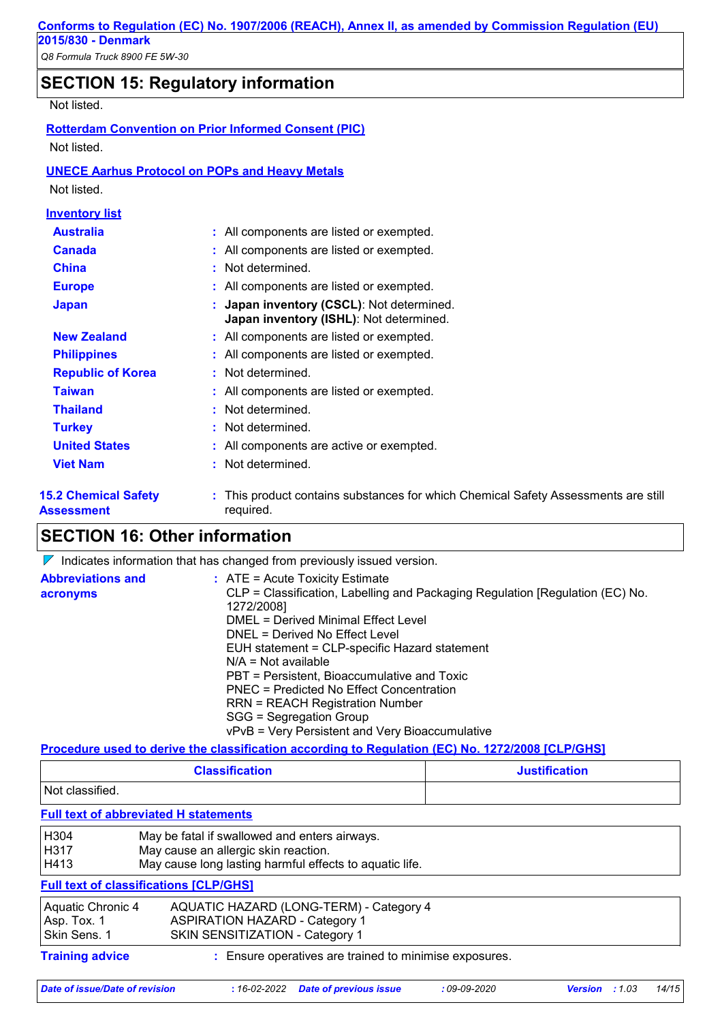## **SECTION 15: Regulatory information**

#### Not listed.

| Not listed.                                      | <b>Rotterdam Convention on Prior Informed Consent (PIC)</b>                                   |
|--------------------------------------------------|-----------------------------------------------------------------------------------------------|
|                                                  | <b>UNECE Aarhus Protocol on POPs and Heavy Metals</b>                                         |
| Not listed.                                      |                                                                                               |
| <b>Inventory list</b>                            |                                                                                               |
| <b>Australia</b>                                 | : All components are listed or exempted.                                                      |
| <b>Canada</b>                                    | : All components are listed or exempted.                                                      |
| China                                            | : Not determined.                                                                             |
| <b>Europe</b>                                    | : All components are listed or exempted.                                                      |
| <b>Japan</b>                                     | : Japan inventory (CSCL): Not determined.<br>Japan inventory (ISHL): Not determined.          |
| <b>New Zealand</b>                               | : All components are listed or exempted.                                                      |
| <b>Philippines</b>                               | : All components are listed or exempted.                                                      |
| <b>Republic of Korea</b>                         | : Not determined.                                                                             |
| <b>Taiwan</b>                                    | : All components are listed or exempted.                                                      |
| <b>Thailand</b>                                  | : Not determined.                                                                             |
| <b>Turkey</b>                                    | : Not determined.                                                                             |
| <b>United States</b>                             | : All components are active or exempted.                                                      |
| <b>Viet Nam</b>                                  | : Not determined.                                                                             |
| <b>15.2 Chemical Safety</b><br><b>Assessment</b> | This product contains substances for which Chemical Safety Assessments are still<br>required. |

## **SECTION 16: Other information**

 $\nabla$  Indicates information that has changed from previously issued version.

| <b>Abbreviations and</b><br>acronyms | $\therefore$ ATE = Acute Toxicity Estimate<br>CLP = Classification, Labelling and Packaging Regulation [Regulation (EC) No.<br>1272/2008]<br>DMEL = Derived Minimal Effect Level<br>DNEL = Derived No Effect Level<br>EUH statement = CLP-specific Hazard statement<br>$N/A = Not available$<br>PBT = Persistent, Bioaccumulative and Toxic<br>PNEC = Predicted No Effect Concentration |
|--------------------------------------|-----------------------------------------------------------------------------------------------------------------------------------------------------------------------------------------------------------------------------------------------------------------------------------------------------------------------------------------------------------------------------------------|
|                                      | <b>RRN = REACH Registration Number</b><br>SGG = Segregation Group                                                                                                                                                                                                                                                                                                                       |
|                                      | vPvB = Very Persistent and Very Bioaccumulative                                                                                                                                                                                                                                                                                                                                         |

#### **Procedure used to derive the classification according to Regulation (EC) No. 1272/2008 [CLP/GHS]**

| <b>Classification</b> | <b>Justification</b> |
|-----------------------|----------------------|
| Not classified.       |                      |

#### **Full text of abbreviated H statements**

| H304<br>H317                                     | May be fatal if swallowed and enters airways.                                                                       |  |  |
|--------------------------------------------------|---------------------------------------------------------------------------------------------------------------------|--|--|
| H413                                             | May cause an allergic skin reaction.<br>May cause long lasting harmful effects to aquatic life.                     |  |  |
|                                                  | <b>Full text of classifications [CLP/GHS]</b>                                                                       |  |  |
| Aquatic Chronic 4<br>Asp. Tox. 1<br>Skin Sens. 1 | AQUATIC HAZARD (LONG-TERM) - Category 4<br><b>ASPIRATION HAZARD - Category 1</b><br>SKIN SENSITIZATION - Category 1 |  |  |
| <b>Training advice</b>                           | Ensure operatives are trained to minimise exposures.                                                                |  |  |